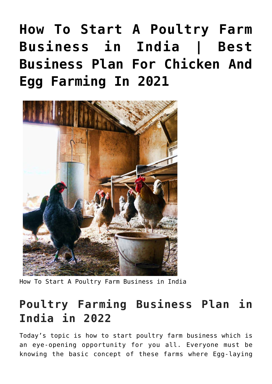# **[How To Start A Poultry Farm](https://inbusinessideas.com/how-to-start-a-poultry-farm-business-in-india/) [Business in India | Best](https://inbusinessideas.com/how-to-start-a-poultry-farm-business-in-india/) [Business Plan For Chicken And](https://inbusinessideas.com/how-to-start-a-poultry-farm-business-in-india/) [Egg Farming In 2021](https://inbusinessideas.com/how-to-start-a-poultry-farm-business-in-india/)**



How To Start A Poultry Farm Business in India

# **Poultry Farming Business Plan in India in 2022**

Today's topic is how to start poultry farm business which is an eye-opening opportunity for you all. Everyone must be knowing the basic concept of these farms where Egg-laying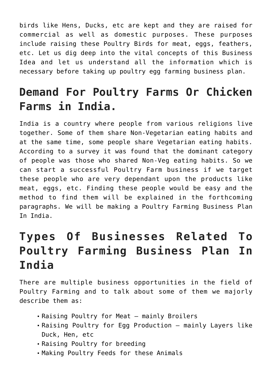birds like Hens, Ducks, etc are kept and they are raised for commercial as well as domestic purposes. These purposes include raising these Poultry Birds for meat, eggs, feathers, etc. Let us dig deep into the vital concepts of this Business Idea and let us understand all the information which is necessary before taking up poultry egg farming business plan.

# **Demand For Poultry Farms Or Chicken Farms in India.**

India is a country where people from various religions live together. Some of them share Non-Vegetarian eating habits and at the same time, some people share Vegetarian eating habits. According to a survey it was found that the dominant category of people was those who shared Non-Veg eating habits. So we can start a successful Poultry Farm business if we target these people who are very dependant upon the products like meat, eggs, etc. Finding these people would be easy and the method to find them will be explained in the forthcoming paragraphs. We will be making a Poultry Farming Business Plan In India.

# **Types Of Businesses Related To Poultry Farming Business Plan In India**

There are multiple business opportunities in the field of Poultry Farming and to talk about some of them we majorly describe them as:

- Raising Poultry for Meat mainly Broilers
- Raising Poultry for Egg Production mainly Layers like Duck, Hen, etc
- Raising Poultry for breeding
- Making Poultry Feeds for these Animals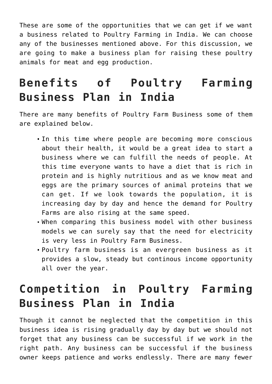These are some of the opportunities that we can get if we want a business related to Poultry Farming in India. We can choose any of the businesses mentioned above. For this discussion, we are going to make a business plan for raising these poultry animals for meat and egg production.

# **Benefits of Poultry Farming Business Plan in India**

There are many benefits of Poultry Farm Business some of them are explained below.

- In this time where people are becoming more conscious about their health, it would be a great idea to start a business where we can fulfill the needs of people. At this time everyone wants to have a diet that is rich in protein and is highly nutritious and as we know meat and eggs are the primary sources of animal proteins that we can get. If we look towards the population, it is increasing day by day and hence the demand for Poultry Farms are also rising at the same speed.
- When comparing this business model with other business models we can surely say that the need for electricity is very less in Poultry Farm Business.
- Poultry farm business is an evergreen business as it provides a slow, steady but continous income opportunity all over the year.

# **Competition in Poultry Farming Business Plan in India**

Though it cannot be neglected that the competition in this business idea is rising gradually day by day but we should not forget that any business can be successful if we work in the right path. Any business can be successful if the business owner keeps patience and works endlessly. There are many fewer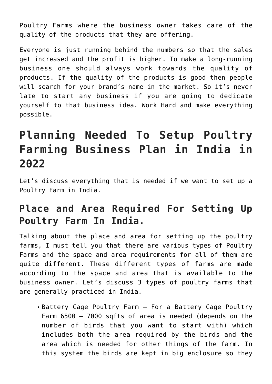Poultry Farms where the business owner takes care of the quality of the products that they are offering.

Everyone is just running behind the numbers so that the sales get increased and the profit is higher. To make a long-running business one should always work towards the quality of products. If the quality of the products is good then people will search for your brand's name in the market. So it's never late to start any business if you are going to dedicate yourself to that business idea. Work Hard and make everything possible.

# **Planning Needed To Setup Poultry Farming Business Plan in India in 2022**

Let's discuss everything that is needed if we want to set up a Poultry Farm in India.

#### **Place and Area Required For Setting Up Poultry Farm In India.**

Talking about the place and area for setting up the poultry farms, I must tell you that there are various types of Poultry Farms and the space and area requirements for all of them are quite different. These different types of farms are made according to the space and area that is available to the business owner. Let's discuss 3 types of poultry farms that are generally practiced in India.

Battery Cage Poultry Farm – For a Battery Cage Poultry Farm 6500 – 7000 sqfts of area is needed (depends on the number of birds that you want to start with) which includes both the area required by the birds and the area which is needed for other things of the farm. In this system the birds are kept in big enclosure so they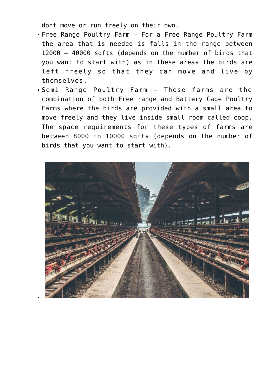dont move or run freely on their own.

- Free Range Poultry Farm For a Free Range Poultry Farm the area that is needed is falls in the range between 12000 – 40000 sqfts (depends on the number of birds that you want to start with) as in these areas the birds are left freely so that they can move and live by themselves.
- Semi Range Poultry Farm These farms are the combination of both Free range and Battery Cage Poultry Farms where the birds are provided with a small area to move freely and they live inside small room called coop. The space requirements for these types of farms are between 8000 to 10000 sqfts (depends on the number of birds that you want to start with).

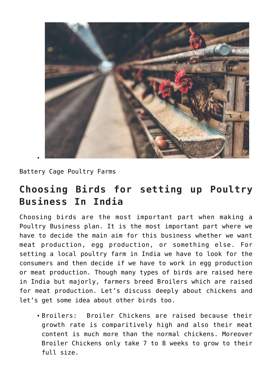

Battery Cage Poultry Farms

#### **Choosing Birds for setting up Poultry Business In India**

Choosing birds are the most important part when making a Poultry Business plan. It is the most important part where we have to decide the main aim for this business whether we want meat production, egg production, or something else. For setting a local poultry farm in India we have to look for the consumers and then decide if we have to work in egg production or meat production. Though many types of birds are raised here in India but majorly, farmers breed Broilers which are raised for meat production. Let's discuss deeply about chickens and let's get some idea about other birds too.

Broilers: Broiler Chickens are raised because their growth rate is comparitively high and also their meat content is much more than the normal chickens. Moreover Broiler Chickens only take 7 to 8 weeks to grow to their full size.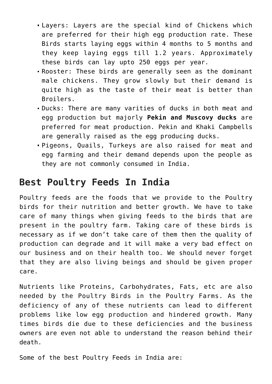- Layers: Layers are the special kind of Chickens which are preferred for their high egg production rate. These Birds starts laying eggs within 4 months to 5 months and they keep laying eggs till 1.2 years. Approximately these birds can lay upto 250 eggs per year.
- Rooster: These birds are generally seen as the dominant male chickens. They grow slowly but their demand is quite high as the taste of their meat is better than Broilers.
- Ducks: There are many varities of ducks in both meat and egg production but majorly **Pekin and Muscovy ducks** are preferred for meat production. Pekin and Khaki Campbells are generally raised as the egg producing ducks.
- Pigeons, Quails, Turkeys are also raised for meat and egg farming and their demand depends upon the people as they are not commonly consumed in India.

#### **Best Poultry Feeds In India**

Poultry feeds are the foods that we provide to the Poultry birds for their nutrition and better growth. We have to take care of many things when giving feeds to the birds that are present in the poultry farm. Taking care of these birds is necessary as if we don't take care of them then the quality of production can degrade and it will make a very bad effect on our business and on their health too. We should never forget that they are also living beings and should be given proper care.

Nutrients like Proteins, Carbohydrates, Fats, etc are also needed by the Poultry Birds in the Poultry Farms. As the deficiency of any of these nutrients can lead to different problems like low egg production and hindered growth. Many times birds die due to these deficiencies and the business owners are even not able to understand the reason behind their death.

Some of the best Poultry Feeds in India are: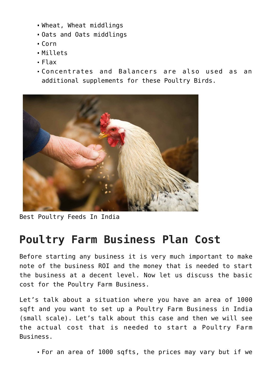- Wheat, Wheat middlings
- Oats and Oats middlings
- $Corn$
- Millets
- Flax
- Concentrates and Balancers are also used as an additional supplements for these Poultry Birds.



Best Poultry Feeds In India

### **Poultry Farm Business Plan Cost**

Before starting any business it is very much important to make note of the business ROI and the money that is needed to start the business at a decent level. Now let us discuss the basic cost for the Poultry Farm Business.

Let's talk about a situation where you have an area of 1000 sqft and you want to set up a Poultry Farm Business in India (small scale). Let's talk about this case and then we will see the actual cost that is needed to start a Poultry Farm Business.

For an area of 1000 sqfts, the prices may vary but if we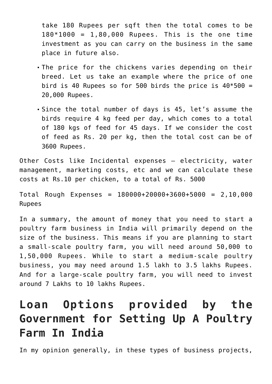take 180 Rupees per sqft then the total comes to be  $180*1000 = 1,80,000$  Rupees. This is the one time investment as you can carry on the business in the same place in future also.

- The price for the chickens varies depending on their breed. Let us take an example where the price of one bird is 40 Rupees so for 500 birds the price is  $40*500 =$ 20,000 Rupees.
- Since the total number of days is 45, let's assume the birds require 4 kg feed per day, which comes to a total of 180 kgs of feed for 45 days. If we consider the cost of feed as Rs. 20 per kg, then the total cost can be of 3600 Rupees.

Other Costs like Incidental expenses – electricity, water management, marketing costs, etc and we can calculate these costs at Rs.10 per chicken, to a total of Rs. 5000

Total Rough Expenses = 180000+20000+3600+5000 = 2,10,000 Rupees

In a summary, the amount of money that you need to start a poultry farm business in India will primarily depend on the size of the business. This means if you are planning to start a small-scale poultry farm, you will need around 50,000 to 1,50,000 Rupees. While to start a medium-scale poultry business, you may need around 1.5 lakh to 3.5 lakhs Rupees. And for a large-scale poultry farm, you will need to invest around 7 Lakhs to 10 lakhs Rupees.

# **Loan Options provided by the Government for Setting Up A Poultry Farm In India**

In my opinion generally, in these types of business projects,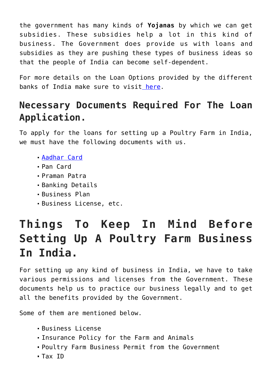the government has many kinds of **Yojanas** by which we can get subsidies. These subsidies help a lot in this kind of business. The Government does provide us with loans and subsidies as they are pushing these types of business ideas so that the people of India can become self-dependent.

For more details on the Loan Options provided by the different banks of India make sure to visit [here](https://www.paisabazaar.com/business-loan/poultry-farm-loan/).

#### **Necessary Documents Required For The Loan Application.**

To apply for the loans for setting up a Poultry Farm in India, we must have the following documents with us.

- [Aadhar Card](https://uidai.gov.in/)
- Pan Card
- Praman Patra
- Banking Details
- Business Plan
- Business License, etc.

# **Things To Keep In Mind Before Setting Up A Poultry Farm Business In India.**

For setting up any kind of business in India, we have to take various permissions and licenses from the Government. These documents help us to practice our business legally and to get all the benefits provided by the Government.

Some of them are mentioned below.

- Business License
- Insurance Policy for the Farm and Animals
- Poultry Farm Business Permit from the Government
- Tax ID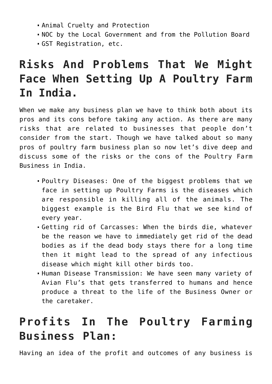- Animal Cruelty and Protection
- NOC by the Local Government and from the Pollution Board
- GST Registration, etc.

# **Risks And Problems That We Might Face When Setting Up A Poultry Farm In India.**

When we make any business plan we have to think both about its pros and its cons before taking any action. As there are many risks that are related to businesses that people don't consider from the start. Though we have talked about so many pros of poultry farm business plan so now let's dive deep and discuss some of the risks or the cons of the Poultry Farm Business in India.

- Poultry Diseases: One of the biggest problems that we face in setting up Poultry Farms is the diseases which are responsible in killing all of the animals. The biggest example is the Bird Flu that we see kind of every year.
- Getting rid of Carcasses: When the birds die, whatever be the reason we have to immediately get rid of the dead bodies as if the dead body stays there for a long time then it might lead to the spread of any infectious disease which might kill other birds too.
- Human Disease Transmission: We have seen many variety of Avian Flu's that gets transferred to humans and hence produce a threat to the life of the Business Owner or the caretaker.

# **Profits In The Poultry Farming Business Plan:**

Having an idea of the profit and outcomes of any business is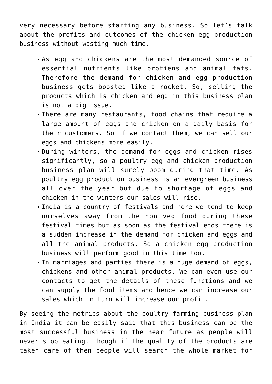very necessary before starting any business. So let's talk about the profits and outcomes of the chicken egg production business without wasting much time.

- As egg and chickens are the most demanded source of essential nutrients like protiens and animal fats. Therefore the demand for chicken and egg production business gets boosted like a rocket. So, selling the products which is chicken and egg in this business plan is not a big issue.
- There are many restaurants, food chains that require a large amount of eggs and chicken on a daily basis for their customers. So if we contact them, we can sell our eggs and chickens more easily.
- During winters, the demand for eggs and chicken rises significantly, so a poultry egg and chicken production business plan will surely boom during that time. As poultry egg production business is an evergreen business all over the year but due to shortage of eggs and chicken in the winters our sales will rise.
- India is a country of festivals and here we tend to keep ourselves away from the non veg food during these festival times but as soon as the festival ends there is a sudden increase in the demand for chicken and eggs and all the animal products. So a chicken egg production business will perform good in this time too.
- In marriages and parties there is a huge demand of eggs, chickens and other animal products. We can even use our contacts to get the details of these functions and we can supply the food items and hence we can increase our sales which in turn will increase our profit.

By seeing the metrics about the poultry farming business plan in India it can be easily said that this business can be the most successful business in the near future as people will never stop eating. Though if the quality of the products are taken care of then people will search the whole market for